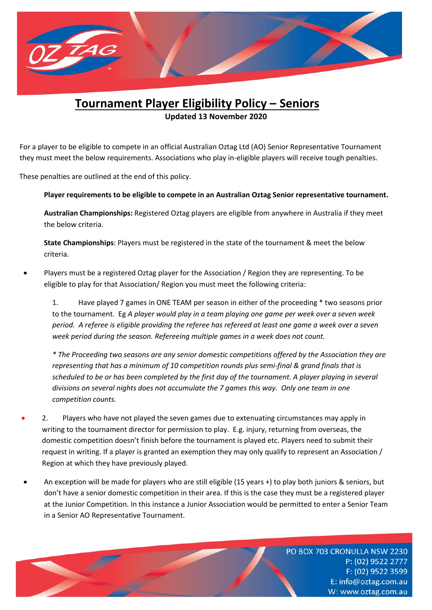

# **Tournament Player Eligibility Policy – Seniors**

**Updated 13 November 2020**

 For a player to be eligible to compete in an official Australian Oztag Ltd (AO) Senior Representative Tournament they must meet the below requirements. Associations who play in-eligible players will receive tough penalties.

These penalties are outlined at the end of this policy.

# **Player requirements to be eligible to compete in an Australian Oztag Senior representative tournament.**

**Australian Championships:** Registered Oztag players are eligible from anywhere in Australia if they meet the below criteria.

**State Championships**: Players must be registered in the state of the tournament & meet the below criteria.

• Players must be a registered Oztag player for the Association / Region they are representing. To be eligible to play for that Association/ Region you must meet the following criteria:

1. Have played 7 games in ONE TEAM per season in either of the proceeding \* two seasons prior to the tournament. Eg *A player would play in a team playing one game per week over a seven week period. A referee is eligible providing the referee has refereed at least one game a week over a seven week period during the season. Refereeing multiple games in a week does not count.*

*\* The Proceeding two seasons are any senior domestic competitions offered by the Association they are representing that has a minimum of 10 competition rounds plus semi-final & grand finals that is scheduled to be or has been completed by the first day of the tournament. A player playing in several divisions on several nights does not accumulate the 7 games this way. Only one team in one competition counts.*

- 2. Players who have not played the seven games due to extenuating circumstances may apply in writing to the tournament director for permission to play. E.g. injury, returning from overseas, the domestic competition doesn't finish before the tournament is played etc. Players need to submit their request in writing. If a player is granted an exemption they may only qualify to represent an Association / Region at which they have previously played.
- An exception will be made for players who are still eligible (15 years +) to play both juniors & seniors, but don't have a senior domestic competition in their area. If this is the case they must be a registered player at the Junior Competition. In this instance a Junior Association would be permitted to enter a Senior Team in a Senior AO Representative Tournament.

PO BOX 703 CRONULLA NSW 2230 P: (02) 9522 2777 F: (02) 9522 3599 E: info@oztag.com.au W: www.oztag.com.au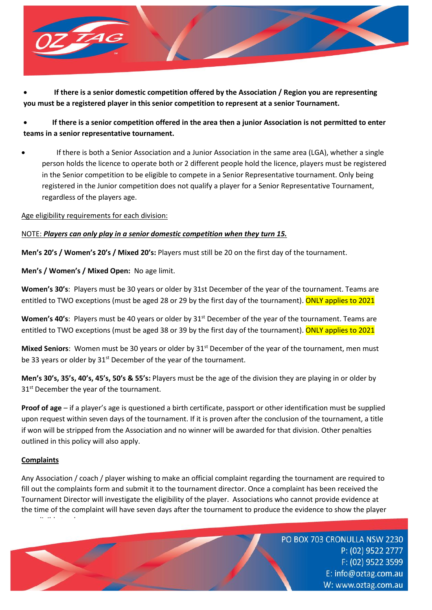

• **If there is a senior domestic competition offered by the Association / Region you are representing you must be a registered player in this senior competition to represent at a senior Tournament.** 

• **If there is a senior competition offered in the area then a junior Association is not permitted to enter teams in a senior representative tournament.**

• If there is both a Senior Association and a Junior Association in the same area (LGA), whether a single person holds the licence to operate both or 2 different people hold the licence, players must be registered in the Senior competition to be eligible to compete in a Senior Representative tournament. Only being registered in the Junior competition does not qualify a player for a Senior Representative Tournament, regardless of the players age.

Age eligibility requirements for each division:

#### NOTE: *Players can only play in a senior domestic competition when they turn 15.*

**Men's 20's / Women's 20's / Mixed 20's:** Players must still be 20 on the first day of the tournament.

**Men's / Women's / Mixed Open:** No age limit.

**Women's 30's**: Players must be 30 years or older by 31st December of the year of the tournament. Teams are entitled to TWO exceptions (must be aged 28 or 29 by the first day of the tournament). ONLY applies to 2021

**Women's 40's**: Players must be 40 years or older by 31<sup>st</sup> December of the year of the tournament. Teams are entitled to TWO exceptions (must be aged 38 or 39 by the first day of the tournament). ONLY applies to 2021

Mixed Seniors: Women must be 30 years or older by 31<sup>st</sup> December of the year of the tournament, men must be 33 years or older by  $31<sup>st</sup>$  December of the year of the tournament.

**Men's 30's, 35's, 40's, 45's, 50's & 55's:** Players must be the age of the division they are playing in or older by  $31<sup>st</sup>$  December the year of the tournament.

**Proof of age** – if a player's age is questioned a birth certificate, passport or other identification must be supplied upon request within seven days of the tournament. If it is proven after the conclusion of the tournament, a title if won will be stripped from the Association and no winner will be awarded for that division. Other penalties outlined in this policy will also apply.

# **Complaints**

Any Association / coach / player wishing to make an official complaint regarding the tournament are required to fill out the complaints form and submit it to the tournament director. Once a complaint has been received the Tournament Director will investigate the eligibility of the player. Associations who cannot provide evidence at the time of the complaint will have seven days after the tournament to produce the evidence to show the player was eligible to play.

> PO BOX 703 CRONULLA NSW 2230 P: (02) 9522 2777 F: (02) 9522 3599 E: info@oztag.com.au W: www.oztag.com.au